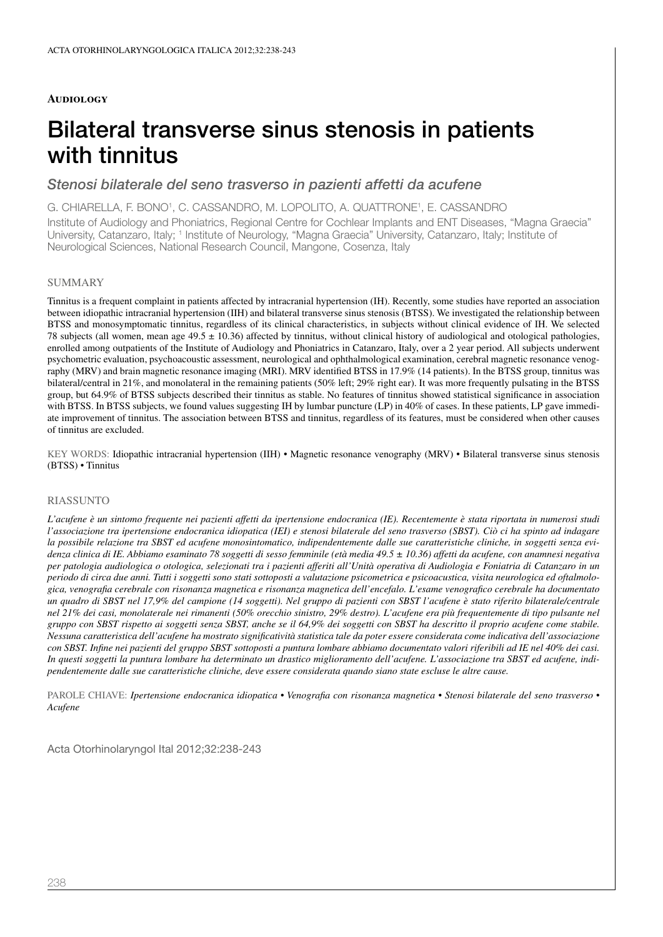# **Audiology**

# Bilateral transverse sinus stenosis in patients with tinnitus

# *Stenosi bilaterale del seno trasverso in pazienti affetti da acufene*

G. Chiarella, F. Bono1 , C. Cassandro, M. LOPOLITO, A. Quattrone1 , E. Cassandro

Institute of Audiology and Phoniatrics, Regional Centre for Cochlear Implants and ENT Diseases, "Magna Graecia" University, Catanzaro, Italy; 1 Institute of Neurology, "Magna Graecia" University, Catanzaro, Italy; Institute of Neurological Sciences, National Research Council, Mangone, Cosenza, Italy

#### **SUMMARY**

Tinnitus is a frequent complaint in patients affected by intracranial hypertension (IH). Recently, some studies have reported an association between idiopathic intracranial hypertension (IIH) and bilateral transverse sinus stenosis (BTSS). We investigated the relationship between BTSS and monosymptomatic tinnitus, regardless of its clinical characteristics, in subjects without clinical evidence of IH. We selected 78 subjects (all women, mean age  $49.5 \pm 10.36$ ) affected by tinnitus, without clinical history of audiological and otological pathologies, enrolled among outpatients of the Institute of Audiology and Phoniatrics in Catanzaro, Italy, over a 2 year period. All subjects underwent psychometric evaluation, psychoacoustic assessment, neurological and ophthalmological examination, cerebral magnetic resonance venography (MRV) and brain magnetic resonance imaging (MRI). MRV identified BTSS in 17.9% (14 patients). In the BTSS group, tinnitus was bilateral/central in 21%, and monolateral in the remaining patients (50% left; 29% right ear). It was more frequently pulsating in the BTSS group, but 64.9% of BTSS subjects described their tinnitus as stable. No features of tinnitus showed statistical significance in association with BTSS. In BTSS subjects, we found values suggesting IH by lumbar puncture (LP) in 40% of cases. In these patients, LP gave immediate improvement of tinnitus. The association between BTSS and tinnitus, regardless of its features, must be considered when other causes of tinnitus are excluded.

KEY WORDS: Idiopathic intracranial hypertension (IIH) • Magnetic resonance venography (MRV) • Bilateral transverse sinus stenosis (BTSS) • Tinnitus

#### **RIASSUNTO**

*L'acufene è un sintomo frequente nei pazienti affetti da ipertensione endocranica (IE). Recentemente è stata riportata in numerosi studi l'associazione tra ipertensione endocranica idiopatica (IEI) e stenosi bilaterale del seno trasverso (SBST). Ciò ci ha spinto ad indagare la possibile relazione tra SBST ed acufene monosintomatico, indipendentemente dalle sue caratteristiche cliniche, in soggetti senza evidenza clinica di IE. Abbiamo esaminato 78 soggetti di sesso femminile (età media 49.5 ± 10.36) affetti da acufene, con anamnesi negativa per patologia audiologica o otologica, selezionati tra i pazienti afferiti all'Unità operativa di Audiologia e Foniatria di Catanzaro in un periodo di circa due anni. Tutti i soggetti sono stati sottoposti a valutazione psicometrica e psicoacustica, visita neurologica ed oftalmologica, venografia cerebrale con risonanza magnetica e risonanza magnetica dell'encefalo. L'esame venografico cerebrale ha documentato un quadro di SBST nel 17,9% del campione (14 soggetti). Nel gruppo di pazienti con SBST l'acufene è stato riferito bilaterale/centrale nel 21% dei casi, monolaterale nei rimanenti (50% orecchio sinistro, 29% destro). L'acufene era più frequentemente di tipo pulsante nel gruppo con SBST rispetto ai soggetti senza SBST, anche se il 64,9% dei soggetti con SBST ha descritto il proprio acufene come stabile. Nessuna caratteristica dell'acufene ha mostrato significatività statistica tale da poter essere considerata come indicativa dell'associazione con SBST. Infine nei pazienti del gruppo SBST sottoposti a puntura lombare abbiamo documentato valori riferibili ad IE nel 40% dei casi. In questi soggetti la puntura lombare ha determinato un drastico miglioramento dell'acufene. L'associazione tra SBST ed acufene, indipendentemente dalle sue caratteristiche cliniche, deve essere considerata quando siano state escluse le altre cause.*

parole chiave: *Ipertensione endocranica idiopatica • Venografia con risonanza magnetica • Stenosi bilaterale del seno trasverso • Acufene*

Acta Otorhinolaryngol Ital 2012;32:238-243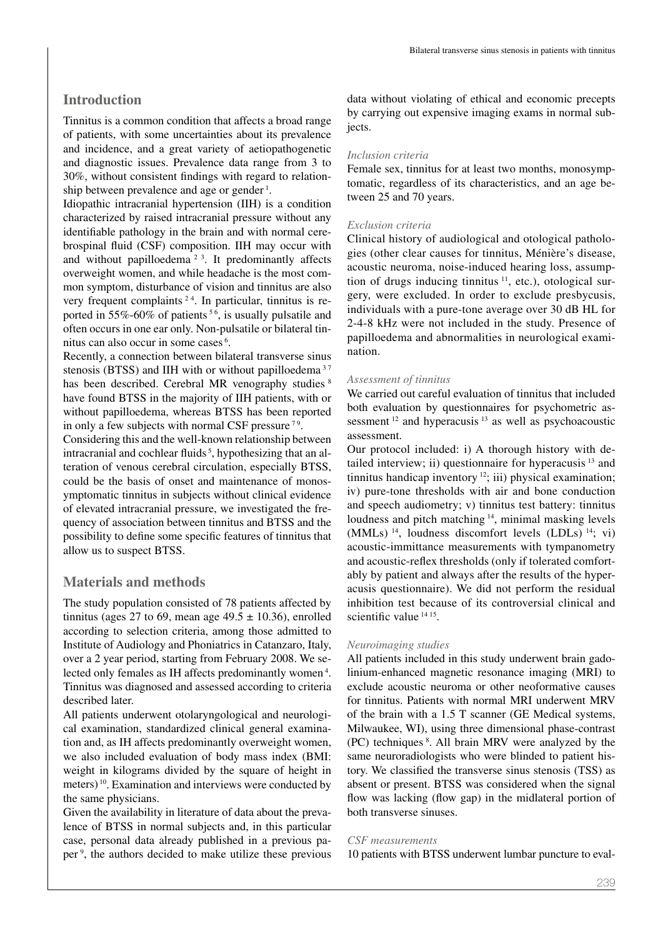# **Introduction**

Tinnitus is a common condition that affects a broad range of patients, with some uncertainties about its prevalence and incidence, and a great variety of aetiopathogenetic and diagnostic issues. Prevalence data range from 3 to 30%, without consistent findings with regard to relationship between prevalence and age or gender<sup>1</sup>.

Idiopathic intracranial hypertension (IIH) is a condition characterized by raised intracranial pressure without any identifiable pathology in the brain and with normal cerebrospinal fluid (CSF) composition. IIH may occur with and without papilloedema<sup> $23$ </sup>. It predominantly affects overweight women, and while headache is the most common symptom, disturbance of vision and tinnitus are also very frequent complaints  $2<sup>4</sup>$ . In particular, tinnitus is reported in 55%-60% of patients  $5<sup>6</sup>$ , is usually pulsatile and often occurs in one ear only. Non-pulsatile or bilateral tinnitus can also occur in some cases 6.

Recently, a connection between bilateral transverse sinus stenosis (BTSS) and IIH with or without papilloedema<sup>37</sup> has been described. Cerebral MR venography studies <sup>8</sup> have found BTSS in the majority of IIH patients, with or without papilloedema, whereas BTSS has been reported in only a few subjects with normal CSF pressure  $79$ .

Considering this and the well-known relationship between intracranial and cochlear fluids<sup>5</sup>, hypothesizing that an alteration of venous cerebral circulation, especially BTSS, could be the basis of onset and maintenance of monosymptomatic tinnitus in subjects without clinical evidence of elevated intracranial pressure, we investigated the frequency of association between tinnitus and BTSS and the possibility to define some specific features of tinnitus that allow us to suspect BTSS.

# **Materials and methods**

The study population consisted of 78 patients affected by tinnitus (ages 27 to 69, mean age  $49.5 \pm 10.36$ ), enrolled according to selection criteria, among those admitted to Institute of Audiology and Phoniatrics in Catanzaro, Italy, over a 2 year period, starting from February 2008. We selected only females as IH affects predominantly women 4. Tinnitus was diagnosed and assessed according to criteria described later.

All patients underwent otolaryngological and neurological examination, standardized clinical general examination and, as IH affects predominantly overweight women, we also included evaluation of body mass index (BMI: weight in kilograms divided by the square of height in meters)<sup>10</sup>. Examination and interviews were conducted by the same physicians.

Given the availability in literature of data about the prevalence of BTSS in normal subjects and, in this particular case, personal data already published in a previous paper 9, the authors decided to make utilize these previous

data without violating of ethical and economic precepts by carrying out expensive imaging exams in normal subjects.

# *Inclusion criteria*

Female sex, tinnitus for at least two months, monosymptomatic, regardless of its characteristics, and an age between 25 and 70 years.

# *Exclusion criteria*

Clinical history of audiological and otological pathologies (other clear causes for tinnitus, Ménière's disease, acoustic neuroma, noise-induced hearing loss, assumption of drugs inducing tinnitus <sup>11</sup>, etc.), otological surgery, were excluded. In order to exclude presbycusis, individuals with a pure-tone average over 30 dB HL for 2-4-8 kHz were not included in the study. Presence of papilloedema and abnormalities in neurological examination.

# *Assessment of tinnitus*

We carried out careful evaluation of tinnitus that included both evaluation by questionnaires for psychometric assessment <sup>12</sup> and hyperacusis <sup>13</sup> as well as psychoacoustic assessment.

Our protocol included: i) A thorough history with detailed interview; ii) questionnaire for hyperacusis<sup>13</sup> and tinnitus handicap inventory<sup>12</sup>; iii) physical examination; iv) pure-tone thresholds with air and bone conduction and speech audiometry; v) tinnitus test battery: tinnitus loudness and pitch matching 14, minimal masking levels  $(MMLs)$  <sup>14</sup>, loudness discomfort levels  $(LDLs)$  <sup>14</sup>; vi) acoustic-immittance measurements with tympanometry and acoustic-reflex thresholds (only if tolerated comfortably by patient and always after the results of the hyperacusis questionnaire). We did not perform the residual inhibition test because of its controversial clinical and scientific value 14 15.

# *Neuroimaging studies*

All patients included in this study underwent brain gadolinium-enhanced magnetic resonance imaging (MRI) to exclude acoustic neuroma or other neoformative causes for tinnitus. Patients with normal MRI underwent MRV of the brain with a 1.5 T scanner (GE Medical systems, Milwaukee, WI), using three dimensional phase-contrast (PC) techniques 8. All brain MRV were analyzed by the same neuroradiologists who were blinded to patient history. We classified the transverse sinus stenosis (TSS) as absent or present. BTSS was considered when the signal flow was lacking (flow gap) in the midlateral portion of both transverse sinuses.

# *CSF measurements*

10 patients with BTSS underwent lumbar puncture to eval-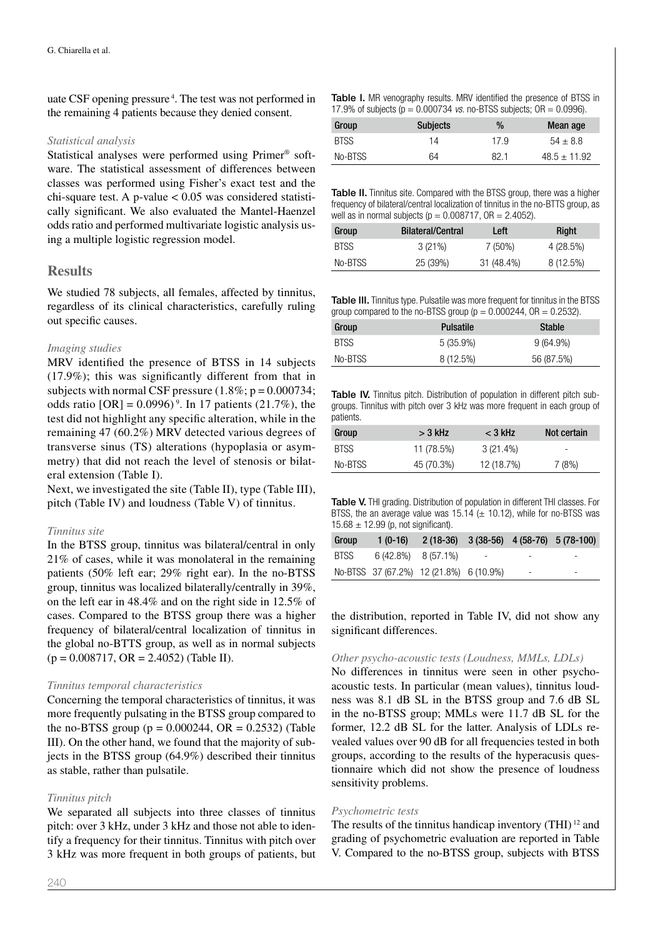uate CSF opening pressure 4. The test was not performed in the remaining 4 patients because they denied consent.

### *Statistical analysis*

Statistical analyses were performed using Primer® software. The statistical assessment of differences between classes was performed using Fisher's exact test and the chi-square test. A p-value  $< 0.05$  was considered statistically significant. We also evaluated the Mantel-Haenzel odds ratio and performed multivariate logistic analysis using a multiple logistic regression model.

#### **Results**

We studied 78 subjects, all females, affected by tinnitus, regardless of its clinical characteristics, carefully ruling out specific causes.

#### *Imaging studies*

MRV identified the presence of BTSS in 14 subjects (17.9%); this was significantly different from that in subjects with normal CSF pressure  $(1.8\%; p = 0.000734;$ odds ratio  $[OR] = 0.0996$ <sup>9</sup>. In 17 patients (21.7%), the test did not highlight any specific alteration, while in the remaining 47 (60.2%) MRV detected various degrees of transverse sinus (TS) alterations (hypoplasia or asymmetry) that did not reach the level of stenosis or bilateral extension (Table I).

Next, we investigated the site (Table II), type (Table III), pitch (Table IV) and loudness (Table V) of tinnitus.

#### *Tinnitus site*

In the BTSS group, tinnitus was bilateral/central in only 21% of cases, while it was monolateral in the remaining patients (50% left ear; 29% right ear). In the no-BTSS group, tinnitus was localized bilaterally/centrally in 39%, on the left ear in 48.4% and on the right side in 12.5% of cases. Compared to the BTSS group there was a higher frequency of bilateral/central localization of tinnitus in the global no-BTTS group, as well as in normal subjects  $(p = 0.008717, \text{ OR } = 2.4052)$  (Table II).

#### *Tinnitus temporal characteristics*

Concerning the temporal characteristics of tinnitus, it was more frequently pulsating in the BTSS group compared to the no-BTSS group ( $p = 0.000244$ , OR = 0.2532) (Table III). On the other hand, we found that the majority of subjects in the BTSS group (64.9%) described their tinnitus as stable, rather than pulsatile.

#### *Tinnitus pitch*

We separated all subjects into three classes of tinnitus pitch: over 3 kHz, under 3 kHz and those not able to identify a frequency for their tinnitus. Tinnitus with pitch over 3 kHz was more frequent in both groups of patients, but Table I. MR venography results. MRV identified the presence of BTSS in 17.9% of subjects ( $p = 0.000734$  *vs.* no-BTSS subjects:  $OR = 0.0996$ ).

| Group   | <b>Subjects</b> | $\%$ | Mean age         |
|---------|-----------------|------|------------------|
| BTSS    | 14              | 17.9 | $54 \pm 8.8$     |
| No-BTSS | 64              | 82.1 | $48.5 \pm 11.92$ |

Table II. Tinnitus site. Compared with the BTSS group, there was a higher frequency of bilateral/central localization of tinnitus in the no-BTTS group, as well as in normal subjects ( $p = 0.008717$ ,  $OR = 2.4052$ ).

| Group   | <b>Bilateral/Central</b> | Left       | Right     |
|---------|--------------------------|------------|-----------|
| BTSS    | 3(21%)                   | 7 (50%)    | 4 (28.5%) |
| No-BTSS | 25 (39%)                 | 31 (48.4%) | 8 (12.5%) |

Table III. Tinnitus type. Pulsatile was more frequent for tinnitus in the BTSS group compared to the no-BTSS group ( $p = 0.000244$ ,  $OR = 0.2532$ ).

| Group       | <b>Pulsatile</b> | Stable     |
|-------------|------------------|------------|
| <b>BTSS</b> | $5(35.9\%)$      | 9 (64.9%)  |
| No-BTSS     | 8 (12.5%)        | 56 (87.5%) |

Table IV. Tinnitus pitch. Distribution of population in different pitch subgroups. Tinnitus with pitch over 3 kHz was more frequent in each group of patients.

| Group       | $>$ 3 kHz  | $<$ 3 kHz  | Not certain |
|-------------|------------|------------|-------------|
| <b>BTSS</b> | 11 (78.5%) | 3 (21.4%)  | -           |
| No-BTSS     | 45 (70.3%) | 12 (18.7%) | 7(8%)       |

Table V. THI grading. Distribution of population in different THI classes. For BTSS, the an average value was  $15.14 \ (\pm 10.12)$ , while for no-BTSS was  $15.68 \pm 12.99$  (p, not significant).

| Group       |                         | $1(0-16)$ $2(18-36)$ $3(38-56)$ $4(58-76)$ $5(78-100)$ |   |   |
|-------------|-------------------------|--------------------------------------------------------|---|---|
| <b>BTSS</b> | $6(42.8\%)$ $8(57.1\%)$ |                                                        |   | - |
|             |                         | No-BTSS 37 (67.2%) 12 (21.8%) 6 (10.9%)                | - | - |

the distribution, reported in Table IV, did not show any significant differences.

#### *Other psycho-acoustic tests (Loudness, MMLs, LDLs)*

No differences in tinnitus were seen in other psychoacoustic tests. In particular (mean values), tinnitus loudness was 8.1 dB SL in the BTSS group and 7.6 dB SL in the no-BTSS group; MMLs were 11.7 dB SL for the former, 12.2 dB SL for the latter. Analysis of LDLs revealed values over 90 dB for all frequencies tested in both groups, according to the results of the hyperacusis questionnaire which did not show the presence of loudness sensitivity problems.

#### *Psychometric tests*

The results of the tinnitus handicap inventory  $(THI)^{12}$  and grading of psychometric evaluation are reported in Table V. Compared to the no-BTSS group, subjects with BTSS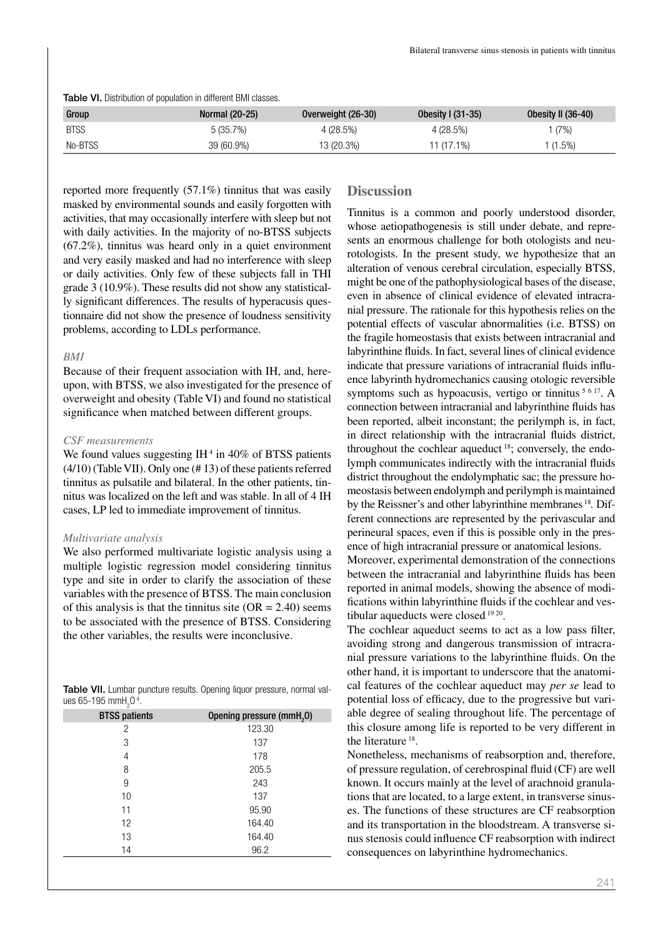| <b>I QUIC VI.</b> DISTINGUOTI OF DODUIQUOTI III GIITCICHE DIVII GIQOSCO. |                |                    |                   |                    |  |
|--------------------------------------------------------------------------|----------------|--------------------|-------------------|--------------------|--|
| Group                                                                    | Normal (20-25) | Overweight (26-30) | Obesity I (31-35) | Obesity II (36-40) |  |
| <b>BTSS</b>                                                              | 5 (35.7%)      | 4 (28.5%)          | 4 (28.5%)         | (7%)               |  |
| No-BTSS                                                                  | 39 (60.9%)     | 13 (20.3%)         | 11 (17.1%)        | $(1.5\%)$          |  |

Table VI. Distribution of population in different BMI classes.

reported more frequently (57.1%) tinnitus that was easily masked by environmental sounds and easily forgotten with activities, that may occasionally interfere with sleep but not with daily activities. In the majority of no-BTSS subjects (67.2%), tinnitus was heard only in a quiet environment and very easily masked and had no interference with sleep or daily activities. Only few of these subjects fall in THI grade 3 (10.9%). These results did not show any statistically significant differences. The results of hyperacusis questionnaire did not show the presence of loudness sensitivity problems, according to LDLs performance.

#### *BMI*

Because of their frequent association with IH, and, hereupon, with BTSS, we also investigated for the presence of overweight and obesity (Table VI) and found no statistical significance when matched between different groups.

#### *CSF measurements*

We found values suggesting  $IH<sup>4</sup>$  in 40% of BTSS patients (4/10) (Table VII). Only one (# 13) of these patients referred tinnitus as pulsatile and bilateral. In the other patients, tinnitus was localized on the left and was stable. In all of 4 IH cases, LP led to immediate improvement of tinnitus.

# *Multivariate analysis*

We also performed multivariate logistic analysis using a multiple logistic regression model considering tinnitus type and site in order to clarify the association of these variables with the presence of BTSS. The main conclusion of this analysis is that the tinnitus site  $(OR = 2.40)$  seems to be associated with the presence of BTSS. Considering the other variables, the results were inconclusive.

|  |                                              |  |  | Table VII. Lumbar puncture results. Opening liquor pressure, normal val- |  |
|--|----------------------------------------------|--|--|--------------------------------------------------------------------------|--|
|  | ues 65-195 mmH <sub>2</sub> 0 <sup>4</sup> . |  |  |                                                                          |  |

| <b>BTSS patients</b> | Opening pressure (mmH <sub>2</sub> 0) |
|----------------------|---------------------------------------|
| 2                    | 123.30                                |
| 3                    | 137                                   |
| 4                    | 178                                   |
| 8                    | 205.5                                 |
| 9                    | 243                                   |
| 10                   | 137                                   |
| 11                   | 95.90                                 |
| $12 \overline{ }$    | 164.40                                |
| 13                   | 164.40                                |
| 14                   | 96.2                                  |
|                      |                                       |

# **Discussion**

Tinnitus is a common and poorly understood disorder, whose aetiopathogenesis is still under debate, and represents an enormous challenge for both otologists and neurotologists. In the present study, we hypothesize that an alteration of venous cerebral circulation, especially BTSS, might be one of the pathophysiological bases of the disease, even in absence of clinical evidence of elevated intracranial pressure. The rationale for this hypothesis relies on the potential effects of vascular abnormalities (i.e. BTSS) on the fragile homeostasis that exists between intracranial and labyrinthine fluids. In fact, several lines of clinical evidence indicate that pressure variations of intracranial fluids influence labyrinth hydromechanics causing otologic reversible symptoms such as hypoacusis, vertigo or tinnitus  $5617$ . A connection between intracranial and labyrinthine fluids has been reported, albeit inconstant; the perilymph is, in fact, in direct relationship with the intracranial fluids district, throughout the cochlear aqueduct <sup>18</sup>; conversely, the endolymph communicates indirectly with the intracranial fluids district throughout the endolymphatic sac; the pressure homeostasis between endolymph and perilymph is maintained by the Reissner's and other labyrinthine membranes 18*.* Different connections are represented by the perivascular and perineural spaces, even if this is possible only in the presence of high intracranial pressure or anatomical lesions.

Moreover, experimental demonstration of the connections between the intracranial and labyrinthine fluids has been reported in animal models, showing the absence of modifications within labyrinthine fluids if the cochlear and vestibular aqueducts were closed 19 20.

The cochlear aqueduct seems to act as a low pass filter, avoiding strong and dangerous transmission of intracranial pressure variations to the labyrinthine fluids. On the other hand, it is important to underscore that the anatomical features of the cochlear aqueduct may *per se* lead to potential loss of efficacy, due to the progressive but variable degree of sealing throughout life. The percentage of this closure among life is reported to be very different in the literature 18.

Nonetheless, mechanisms of reabsorption and, therefore, of pressure regulation, of cerebrospinal fluid (CF) are well known. It occurs mainly at the level of arachnoid granulations that are located, to a large extent, in transverse sinuses. The functions of these structures are CF reabsorption and its transportation in the bloodstream. A transverse sinus stenosis could influence CF reabsorption with indirect consequences on labyrinthine hydromechanics.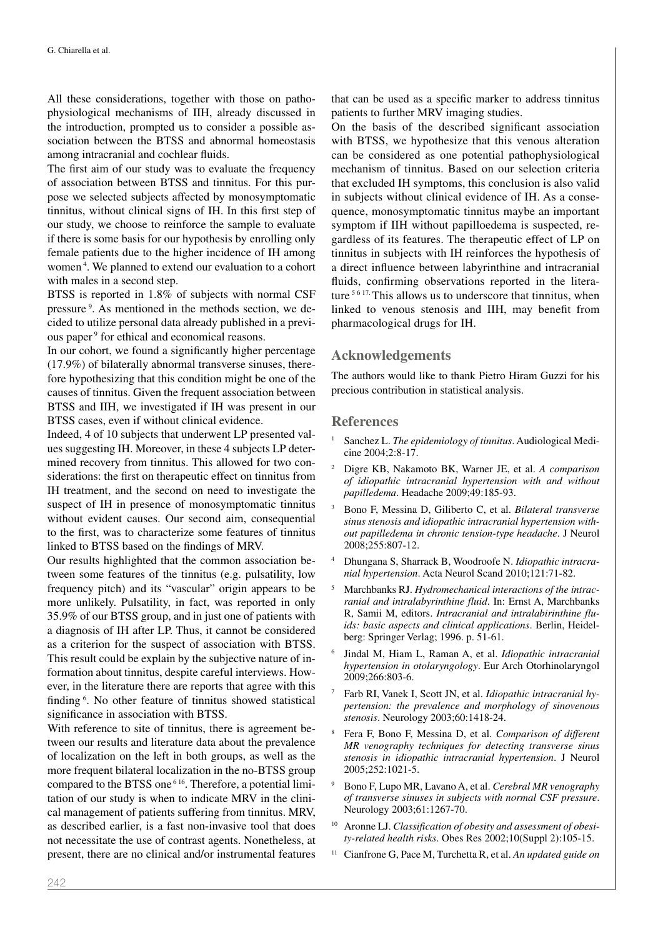All these considerations, together with those on pathophysiological mechanisms of IIH, already discussed in the introduction, prompted us to consider a possible association between the BTSS and abnormal homeostasis among intracranial and cochlear fluids.

The first aim of our study was to evaluate the frequency of association between BTSS and tinnitus. For this purpose we selected subjects affected by monosymptomatic tinnitus, without clinical signs of IH. In this first step of our study, we choose to reinforce the sample to evaluate if there is some basis for our hypothesis by enrolling only female patients due to the higher incidence of IH among women<sup>4</sup>. We planned to extend our evaluation to a cohort with males in a second step.

BTSS is reported in 1.8% of subjects with normal CSF pressure 9. As mentioned in the methods section, we decided to utilize personal data already published in a previous paper 9 for ethical and economical reasons.

In our cohort, we found a significantly higher percentage (17.9%) of bilaterally abnormal transverse sinuses, therefore hypothesizing that this condition might be one of the causes of tinnitus. Given the frequent association between BTSS and IIH, we investigated if IH was present in our BTSS cases, even if without clinical evidence.

Indeed, 4 of 10 subjects that underwent LP presented values suggesting IH. Moreover, in these 4 subjects LP determined recovery from tinnitus. This allowed for two considerations: the first on therapeutic effect on tinnitus from IH treatment, and the second on need to investigate the suspect of IH in presence of monosymptomatic tinnitus without evident causes. Our second aim, consequential to the first, was to characterize some features of tinnitus linked to BTSS based on the findings of MRV.

Our results highlighted that the common association between some features of the tinnitus (e.g. pulsatility, low frequency pitch) and its "vascular" origin appears to be more unlikely. Pulsatility, in fact, was reported in only 35.9% of our BTSS group, and in just one of patients with a diagnosis of IH after LP. Thus, it cannot be considered as a criterion for the suspect of association with BTSS. This result could be explain by the subjective nature of information about tinnitus, despite careful interviews. However, in the literature there are reports that agree with this finding <sup>6</sup>. No other feature of tinnitus showed statistical significance in association with BTSS.

With reference to site of tinnitus, there is agreement between our results and literature data about the prevalence of localization on the left in both groups, as well as the more frequent bilateral localization in the no-BTSS group compared to the BTSS one <sup>616</sup>. Therefore, a potential limitation of our study is when to indicate MRV in the clinical management of patients suffering from tinnitus. MRV, as described earlier, is a fast non-invasive tool that does not necessitate the use of contrast agents. Nonetheless, at present, there are no clinical and/or instrumental features

that can be used as a specific marker to address tinnitus patients to further MRV imaging studies.

On the basis of the described significant association with BTSS, we hypothesize that this venous alteration can be considered as one potential pathophysiological mechanism of tinnitus. Based on our selection criteria that excluded IH symptoms, this conclusion is also valid in subjects without clinical evidence of IH. As a consequence, monosymptomatic tinnitus maybe an important symptom if IIH without papilloedema is suspected, regardless of its features. The therapeutic effect of LP on tinnitus in subjects with IH reinforces the hypothesis of a direct influence between labyrinthine and intracranial fluids, confirming observations reported in the literature <sup>5 6 17</sup>. This allows us to underscore that tinnitus, when linked to venous stenosis and IIH, may benefit from pharmacological drugs for IH.

# **Acknowledgements**

The authors would like to thank Pietro Hiram Guzzi for his precious contribution in statistical analysis.

# **References**

- <sup>1</sup> Sanchez L. *The epidemiology of tinnitus*. Audiological Medicine 2004;2:8-17.
- 2 Digre KB, Nakamoto BK, Warner JE, et al. *A comparison of idiopathic intracranial hypertension with and without papilledema*. Headache 2009;49:185-93.
- <sup>3</sup> Bono F, Messina D, Giliberto C, et al. *Bilateral transverse sinus stenosis and idiopathic intracranial hypertension without papilledema in chronic tension-type headache*. J Neurol 2008;255:807-12.
- 4 Dhungana S, Sharrack B, Woodroofe N. *Idiopathic intracranial hypertension*. Acta Neurol Scand 2010;121:71-82.
- 5 Marchbanks RJ. *Hydromechanical interactions of the intracranial and intralabyrinthine fluid*. In: Ernst A, Marchbanks R, Samii M, editors. *Intracranial and intralabirinthine fluids: basic aspects and clinical applications*. Berlin, Heidelberg: Springer Verlag; 1996. p. 51-61.
- <sup>6</sup> Jindal M, Hiam L, Raman A, et al. *Idiopathic intracranial hypertension in otolaryngology*. Eur Arch Otorhinolaryngol 2009;266:803-6.
- <sup>7</sup> Farb RI, Vanek I, Scott JN, et al. *Idiopathic intracranial hypertension: the prevalence and morphology of sinovenous stenosis*. Neurology 2003;60:1418-24.
- <sup>8</sup> Fera F, Bono F, Messina D, et al. *Comparison of different MR venography techniques for detecting transverse sinus stenosis in idiopathic intracranial hypertension*. J Neurol 2005;252:1021-5.
- <sup>9</sup> Bono F, Lupo MR, Lavano A, et al. *Cerebral MR venography of transverse sinuses in subjects with normal CSF pressure*. Neurology 2003;61:1267-70.
- Aronne LJ. *Classification of obesity and assessment of obesity-related health risks*. Obes Res 2002;10(Suppl 2):105-15.
- <sup>11</sup> Cianfrone G, Pace M, Turchetta R, et al. *An updated guide on*